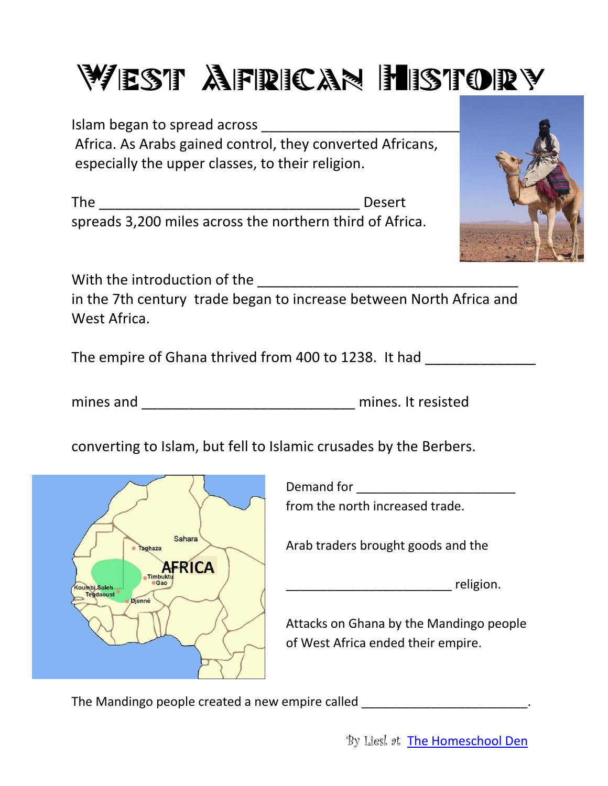# WEST AFRICAN HISTORY

Islam began to spread across \_\_\_\_\_\_\_\_\_\_\_\_\_\_\_\_\_\_\_\_\_\_\_\_\_\_ Africa. As Arabs gained control, they converted Africans, especially the upper classes, to their religion.

The \_\_\_\_\_\_\_\_\_\_\_\_\_\_\_\_\_\_\_\_\_\_\_\_\_\_\_\_\_\_\_\_\_ Desert spreads 3,200 miles across the northern third of Africa.



With the introduction of the **With the introduction** of the

in the 7th century trade began to increase between North Africa and West Africa.

The empire of Ghana thrived from 400 to 1238. It had

mines and \_\_\_\_\_\_\_\_\_\_\_\_\_\_\_\_\_\_\_\_\_\_\_\_\_\_\_ mines. It resisted

converting to Islam, but fell to Islamic crusades by the Berbers.



Demand for **Demand** for from the north increased trade.

Arab traders brought goods and the

 $\blacksquare$  religion.

Attacks on Ghana by the Mandingo people of West Africa ended their empire.

The Mandingo people created a new empire called  $\blacksquare$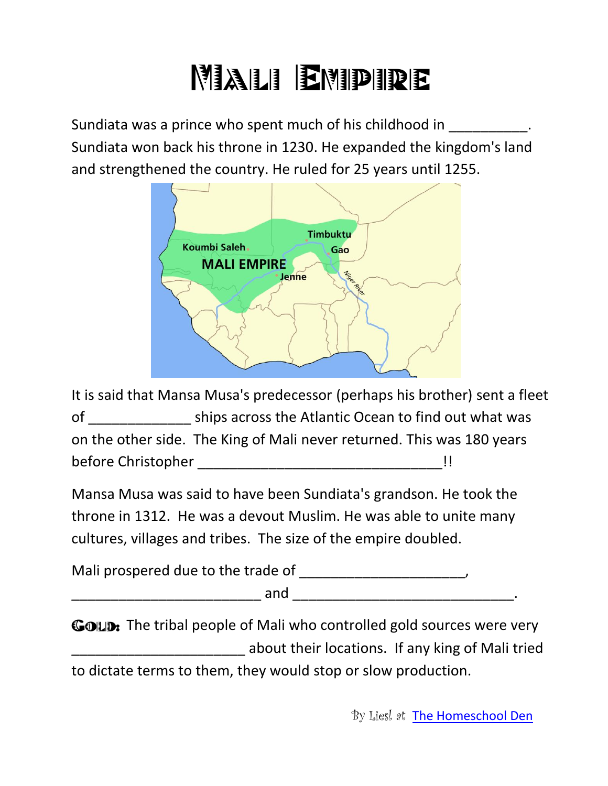# **Mali Empire**

Sundiata was a prince who spent much of his childhood in  $\blacksquare$ Sundiata won back his throne in 1230. He expanded the kingdom's land and strengthened the country. He ruled for 25 years until 1255.



It is said that Mansa Musa's predecessor (perhaps his brother) sent a fleet of \_\_\_\_\_\_\_\_\_\_\_\_\_ ships across the Atlantic Ocean to find out what was on the other side. The King of Mali never returned. This was 180 years before Christopher \_\_\_\_\_\_\_\_\_\_\_\_\_\_\_\_\_\_\_\_\_\_\_\_\_\_\_\_\_\_\_!!

Mansa Musa was said to have been Sundiata's grandson. He took the throne in 1312. He was a devout Muslim. He was able to unite many cultures, villages and tribes. The size of the empire doubled.

Mali prospered due to the trade of \_\_\_\_\_\_\_\_\_\_\_\_\_\_\_\_\_\_\_\_\_,  $and$ 

GOLD: The tribal people of Mali who controlled gold sources were very \_\_\_\_\_\_\_\_\_\_\_\_\_\_\_\_\_\_\_\_\_\_ about their locations. If any king of Mali tried to dictate terms to them, they would stop or slow production.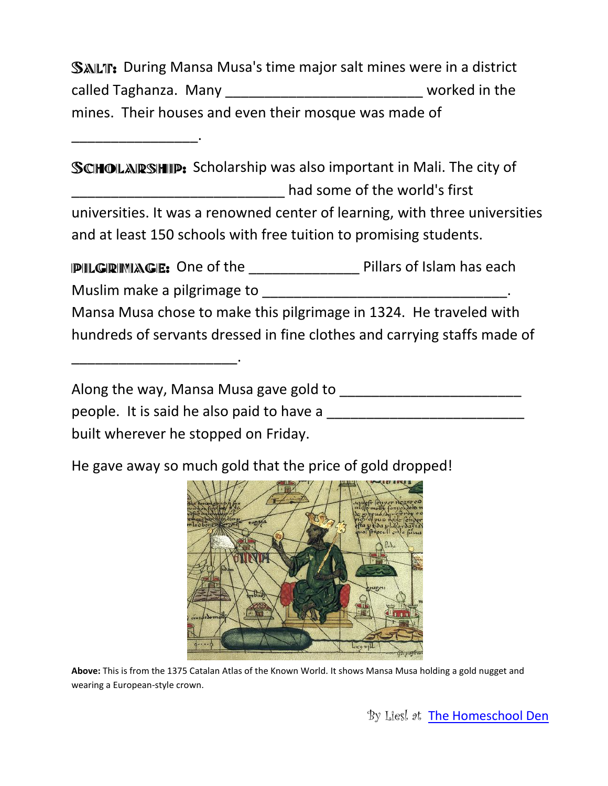SALT: During Mansa Musa's time major salt mines were in a district called Taghanza. Many \_\_\_\_\_\_\_\_\_\_\_\_\_\_\_\_\_\_\_\_\_\_\_\_\_\_\_\_\_\_\_\_worked in the mines. Their houses and even their mosque was made of

\_\_\_\_\_\_\_\_\_\_\_\_\_\_\_\_.

\_\_\_\_\_\_\_\_\_\_\_\_\_\_\_\_\_\_\_\_\_.

SCHOLARSHIP: Scholarship was also important in Mali. The city of \_\_\_\_\_\_\_\_\_\_\_\_\_\_\_\_\_\_\_\_\_\_\_\_\_\_\_ had some of the world's first universities. It was a renowned center of learning, with three universities and at least 150 schools with free tuition to promising students.

PILGRIMAGE: One of the \_\_\_\_\_\_\_\_\_\_\_\_\_\_\_\_\_ Pillars of Islam has each Muslim make a pilgrimage to example the state of the state of the state of the state of the state of the state of the state of the state of the state of the state of the state of the state of the state of the state of the Mansa Musa chose to make this pilgrimage in 1324. He traveled with hundreds of servants dressed in fine clothes and carrying staffs made of

Along the way, Mansa Musa gave gold to \_\_\_\_\_\_\_\_\_\_\_\_\_\_\_\_\_\_\_\_\_\_\_ people. It is said he also paid to have a \_\_\_\_\_\_\_\_\_\_\_\_\_\_\_\_\_\_\_\_\_\_\_\_\_ built wherever he stopped on Friday.

He gave away so much gold that the price of gold dropped!



**Above:** This is from the 1375 Catalan Atlas of the Known World. It shows Mansa Musa holding a gold nugget and wearing a European-style crown.

By Liesl at [The Homeschool Den](http://www.parents.com/blogs/homeschool-den/)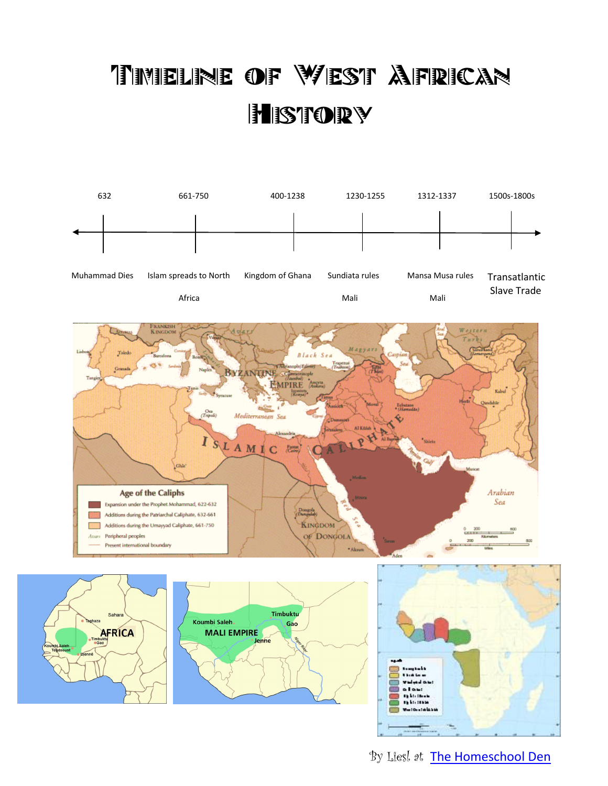#### Timeline of West African **HISTORY**









By Liesl at [The Homeschool Den](http://www.parents.com/blogs/homeschool-den/)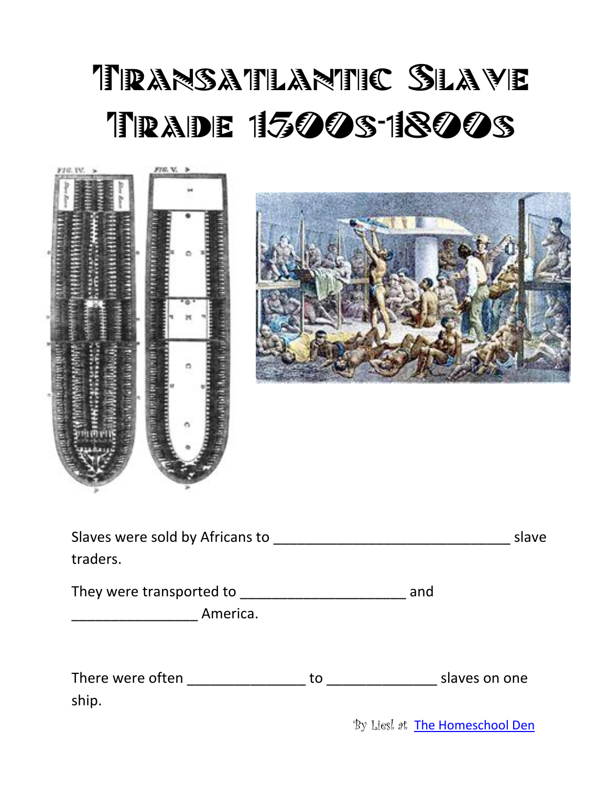# TRANSATLANTIC SLAVE **TRADE 1500S-1800S**

| F10. IV.<br>× | FIG. V. >                                 |  |
|---------------|-------------------------------------------|--|
|               |                                           |  |
|               |                                           |  |
|               | <b>BARBARA ARTICLES</b>                   |  |
|               |                                           |  |
|               | ₽<br>۰                                    |  |
|               |                                           |  |
|               | day and further also to put an anti-<br>o |  |
|               |                                           |  |
|               |                                           |  |
|               |                                           |  |
|               |                                           |  |
|               |                                           |  |

| Slaves were sold by Africans to<br>traders. |     |               |  |  |
|---------------------------------------------|-----|---------------|--|--|
| They were transported to _                  | and |               |  |  |
| America.                                    |     |               |  |  |
| There were often<br>ship.                   | to  | slaves on one |  |  |

By Liesl at [The Homeschool Den](http://www.parents.com/blogs/homeschool-den/)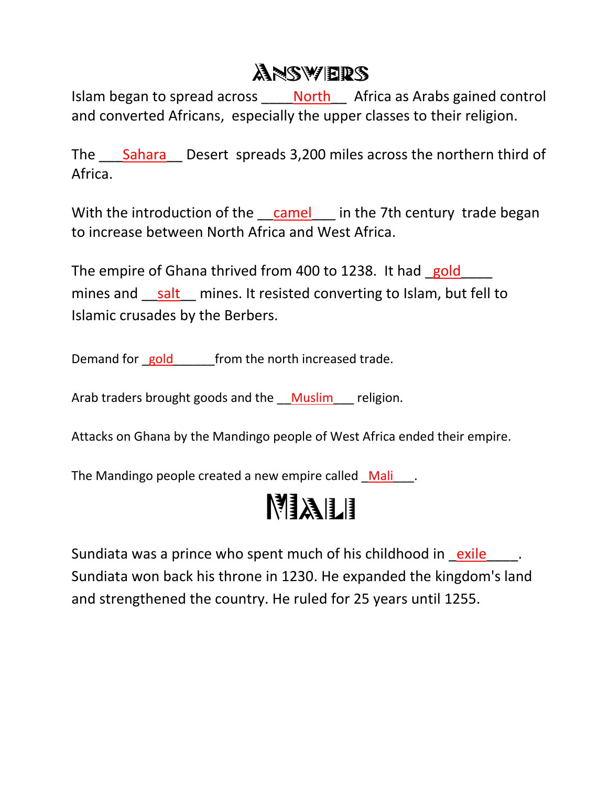#### **ANSWERS**

Islam began to spread across \_\_\_\_\_ North \_\_\_\_\_ Africa as Arabs gained control and converted Africans, especially the upper classes to their religion.

The Sahara Desert spreads 3,200 miles across the northern third of Africa.

With the introduction of the camel in the 7th century trade began to increase between North Africa and West Africa.

The empire of Ghana thrived from 400 to 1238. It had gold mines and \_\_salt \_\_ mines. It resisted converting to Islam, but fell to Islamic crusades by the Berbers.

Demand for gold from the north increased trade.

Arab traders brought goods and the Muslim religion.

Attacks on Ghana by the Mandingo people of West Africa ended their empire.

The Mandingo people created a new empire called Mali\_\_\_.

#### MALI

Sundiata was a prince who spent much of his childhood in exile  $\blacksquare$ . Sundiata won back his throne in 1230. He expanded the kingdom's land and strengthened the country. He ruled for 25 years until 1255.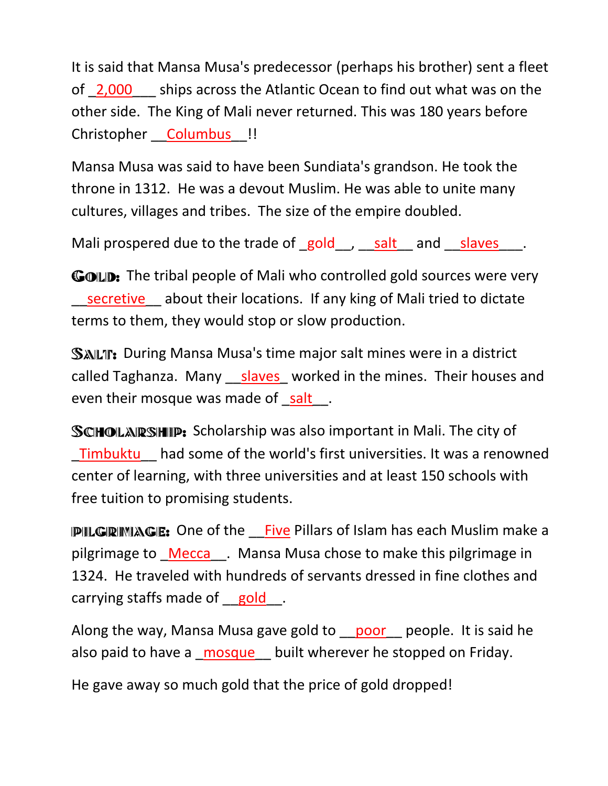It is said that Mansa Musa's predecessor (perhaps his brother) sent a fleet of 2,000 ships across the Atlantic Ocean to find out what was on the other side. The King of Mali never returned. This was 180 years before Christopher **Columbus** !!

Mansa Musa was said to have been Sundiata's grandson. He took the throne in 1312. He was a devout Muslim. He was able to unite many cultures, villages and tribes. The size of the empire doubled.

Mali prospered due to the trade of gold , salt and slaves .

GOLD: The tribal people of Mali who controlled gold sources were very secretive about their locations. If any king of Mali tried to dictate terms to them, they would stop or slow production.

SALT: During Mansa Musa's time major salt mines were in a district called Taghanza. Many slaves worked in the mines. Their houses and even their mosque was made of salt.

SCHOLARSHIP: Scholarship was also important in Mali. The city of \_Timbuktu\_\_ had some of the world's first universities. It was a renowned center of learning, with three universities and at least 150 schools with free tuition to promising students.

**PILGRIMAGE:** One of the Five Pillars of Islam has each Muslim make a pilgrimage to Mecca . Mansa Musa chose to make this pilgrimage in 1324. He traveled with hundreds of servants dressed in fine clothes and carrying staffs made of gold.

Along the way, Mansa Musa gave gold to \_\_poor \_\_people. It is said he also paid to have a mosque built wherever he stopped on Friday.

He gave away so much gold that the price of gold dropped!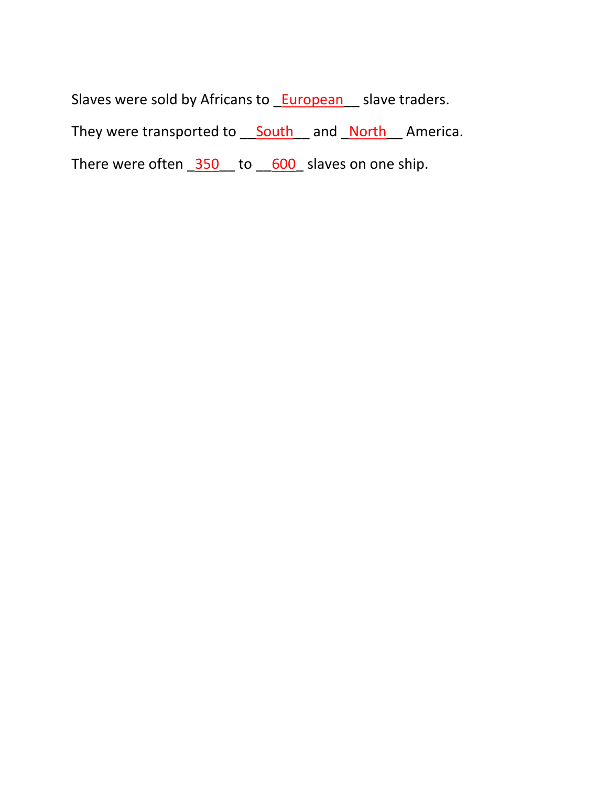Slaves were sold by Africans to **European** slave traders. They were transported to **South** and **North** America. There were often  $\frac{350}{100}$  to  $\frac{600}{100}$  slaves on one ship.